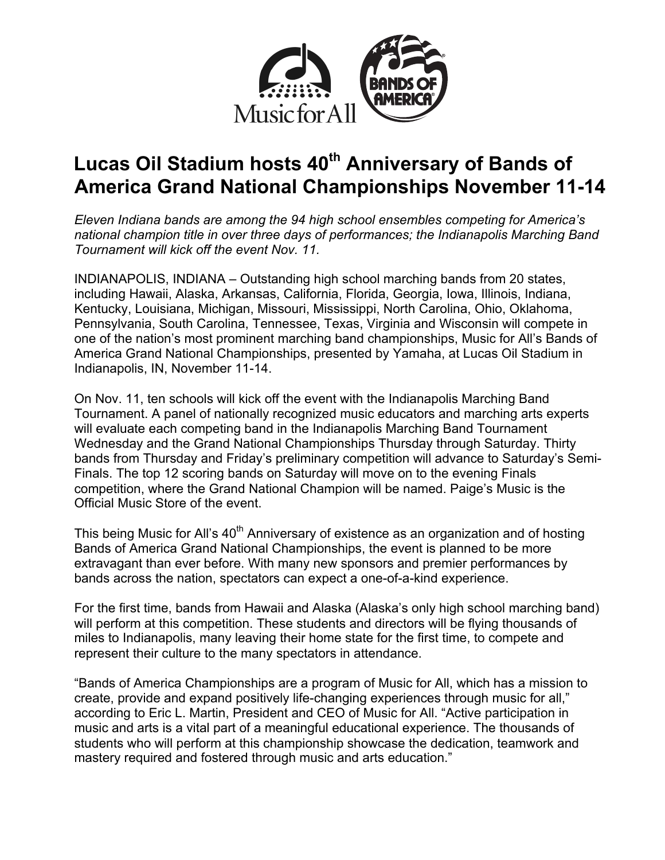

# **Lucas Oil Stadium hosts 40th Anniversary of Bands of America Grand National Championships November 11-14**

*Eleven Indiana bands are among the 94 high school ensembles competing for America's national champion title in over three days of performances; the Indianapolis Marching Band Tournament will kick off the event Nov. 11.*

INDIANAPOLIS, INDIANA – Outstanding high school marching bands from 20 states, including Hawaii, Alaska, Arkansas, California, Florida, Georgia, Iowa, Illinois, Indiana, Kentucky, Louisiana, Michigan, Missouri, Mississippi, North Carolina, Ohio, Oklahoma, Pennsylvania, South Carolina, Tennessee, Texas, Virginia and Wisconsin will compete in one of the nation's most prominent marching band championships, Music for All's Bands of America Grand National Championships, presented by Yamaha, at Lucas Oil Stadium in Indianapolis, IN, November 11-14.

On Nov. 11, ten schools will kick off the event with the Indianapolis Marching Band Tournament. A panel of nationally recognized music educators and marching arts experts will evaluate each competing band in the Indianapolis Marching Band Tournament Wednesday and the Grand National Championships Thursday through Saturday. Thirty bands from Thursday and Friday's preliminary competition will advance to Saturday's Semi-Finals. The top 12 scoring bands on Saturday will move on to the evening Finals competition, where the Grand National Champion will be named. Paige's Music is the Official Music Store of the event.

This being Music for All's 40<sup>th</sup> Anniversary of existence as an organization and of hosting Bands of America Grand National Championships, the event is planned to be more extravagant than ever before. With many new sponsors and premier performances by bands across the nation, spectators can expect a one-of-a-kind experience.

For the first time, bands from Hawaii and Alaska (Alaska's only high school marching band) will perform at this competition. These students and directors will be flying thousands of miles to Indianapolis, many leaving their home state for the first time, to compete and represent their culture to the many spectators in attendance.

"Bands of America Championships are a program of Music for All, which has a mission to create, provide and expand positively life-changing experiences through music for all," according to Eric L. Martin, President and CEO of Music for All. "Active participation in music and arts is a vital part of a meaningful educational experience. The thousands of students who will perform at this championship showcase the dedication, teamwork and mastery required and fostered through music and arts education."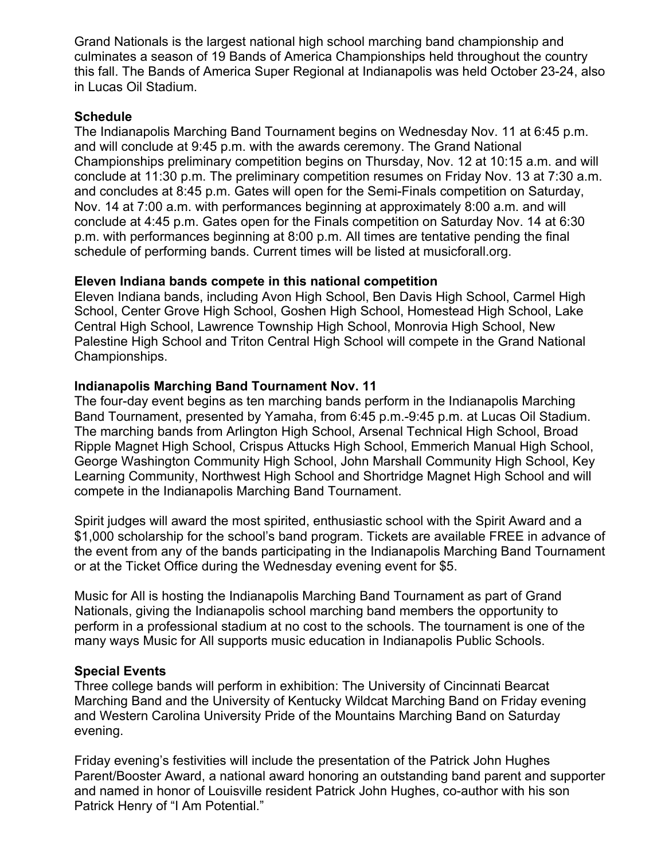Grand Nationals is the largest national high school marching band championship and culminates a season of 19 Bands of America Championships held throughout the country this fall. The Bands of America Super Regional at Indianapolis was held October 23-24, also in Lucas Oil Stadium.

#### **Schedule**

The Indianapolis Marching Band Tournament begins on Wednesday Nov. 11 at 6:45 p.m. and will conclude at 9:45 p.m. with the awards ceremony. The Grand National Championships preliminary competition begins on Thursday, Nov. 12 at 10:15 a.m. and will conclude at 11:30 p.m. The preliminary competition resumes on Friday Nov. 13 at 7:30 a.m. and concludes at 8:45 p.m. Gates will open for the Semi-Finals competition on Saturday, Nov. 14 at 7:00 a.m. with performances beginning at approximately 8:00 a.m. and will conclude at 4:45 p.m. Gates open for the Finals competition on Saturday Nov. 14 at 6:30 p.m. with performances beginning at 8:00 p.m. All times are tentative pending the final schedule of performing bands. Current times will be listed at musicforall.org.

## **Eleven Indiana bands compete in this national competition**

Eleven Indiana bands, including Avon High School, Ben Davis High School, Carmel High School, Center Grove High School, Goshen High School, Homestead High School, Lake Central High School, Lawrence Township High School, Monrovia High School, New Palestine High School and Triton Central High School will compete in the Grand National Championships.

## **Indianapolis Marching Band Tournament Nov. 11**

The four-day event begins as ten marching bands perform in the Indianapolis Marching Band Tournament, presented by Yamaha, from 6:45 p.m.-9:45 p.m. at Lucas Oil Stadium. The marching bands from Arlington High School, Arsenal Technical High School, Broad Ripple Magnet High School, Crispus Attucks High School, Emmerich Manual High School, George Washington Community High School, John Marshall Community High School, Key Learning Community, Northwest High School and Shortridge Magnet High School and will compete in the Indianapolis Marching Band Tournament.

Spirit judges will award the most spirited, enthusiastic school with the Spirit Award and a \$1,000 scholarship for the school's band program. Tickets are available FREE in advance of the event from any of the bands participating in the Indianapolis Marching Band Tournament or at the Ticket Office during the Wednesday evening event for \$5.

Music for All is hosting the Indianapolis Marching Band Tournament as part of Grand Nationals, giving the Indianapolis school marching band members the opportunity to perform in a professional stadium at no cost to the schools. The tournament is one of the many ways Music for All supports music education in Indianapolis Public Schools.

#### **Special Events**

Three college bands will perform in exhibition: The University of Cincinnati Bearcat Marching Band and the University of Kentucky Wildcat Marching Band on Friday evening and Western Carolina University Pride of the Mountains Marching Band on Saturday evening.

Friday evening's festivities will include the presentation of the Patrick John Hughes Parent/Booster Award, a national award honoring an outstanding band parent and supporter and named in honor of Louisville resident Patrick John Hughes, co-author with his son Patrick Henry of "I Am Potential."